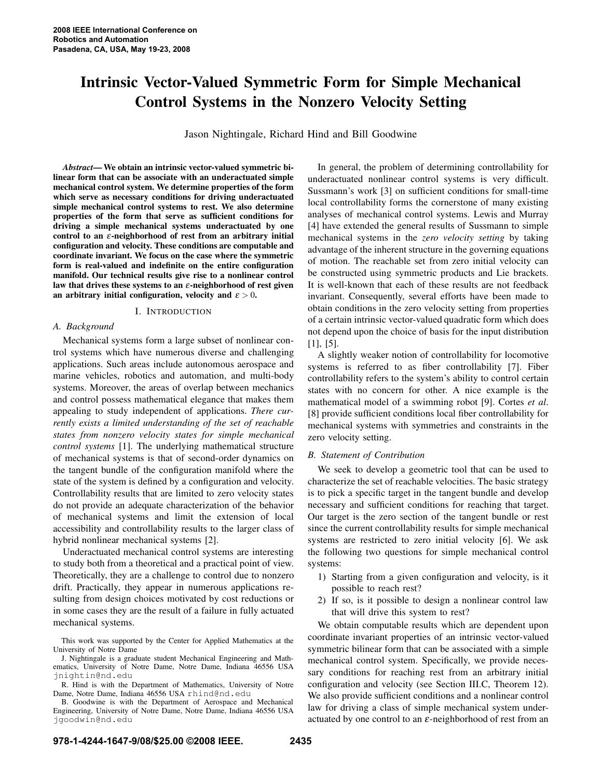# **Intrinsic Vector-Valued Symmetric Form for Simple Mechanical Control Systems in the Nonzero Velocity Setting**

Jason Nightingale, Richard Hind and Bill Goodwine

*Abstract***— We obtain an intrinsic vector-valued symmetric bilinear form that can be associate with an underactuated simple mechanical control system. We determine properties of the form which serve as necessary conditions for driving underactuated simple mechanical control systems to rest. We also determine properties of the form that serve as sufficient conditions for driving a simple mechanical systems underactuated by one control to an** <sup>ε</sup>**-neighborhood of rest from an arbitrary initial configuration and velocity. These conditions are computable and coordinate invariant. We focus on the case where the symmetric form is real-valued and indefinite on the entire configuration manifold. Our technical results give rise to a nonlinear control law that drives these systems to an** <sup>ε</sup>**-neighborhood of rest given an** arbitrary initial configuration, velocity and  $\varepsilon > 0$ .

## I. INTRODUCTION

## *A. Background*

Mechanical systems form a large subset of nonlinear control systems which have numerous diverse and challenging applications. Such areas include autonomous aerospace and marine vehicles, robotics and automation, and multi-body systems. Moreover, the areas of overlap between mechanics and control possess mathematical elegance that makes them appealing to study independent of applications. *There currently exists a limited understanding of the set of reachable states from nonzero velocity states for simple mechanical control systems* [1]. The underlying mathematical structure of mechanical systems is that of second-order dynamics on the tangent bundle of the configuration manifold where the state of the system is defined by a configuration and velocity. Controllability results that are limited to zero velocity states do not provide an adequate characterization of the behavior of mechanical systems and limit the extension of local accessibility and controllability results to the larger class of hybrid nonlinear mechanical systems [2].

Underactuated mechanical control systems are interesting to study both from a theoretical and a practical point of view. Theoretically, they are a challenge to control due to nonzero drift. Practically, they appear in numerous applications resulting from design choices motivated by cost reductions or in some cases they are the result of a failure in fully actuated mechanical systems.

In general, the problem of determining controllability for underactuated nonlinear control systems is very difficult. Sussmann's work [3] on sufficient conditions for small-time local controllability forms the cornerstone of many existing analyses of mechanical control systems. Lewis and Murray [4] have extended the general results of Sussmann to simple mechanical systems in the *zero velocity setting* by taking advantage of the inherent structure in the governing equations of motion. The reachable set from zero initial velocity can be constructed using symmetric products and Lie brackets. It is well-known that each of these results are not feedback invariant. Consequently, several efforts have been made to obtain conditions in the zero velocity setting from properties of a certain intrinsic vector-valued quadratic form which does not depend upon the choice of basis for the input distribution [1], [5].

A slightly weaker notion of controllability for locomotive systems is referred to as fiber controllability [7]. Fiber controllability refers to the system's ability to control certain states with no concern for other. A nice example is the mathematical model of a swimming robot [9]. Cortes *et al*. [8] provide sufficient conditions local fiber controllability for mechanical systems with symmetries and constraints in the zero velocity setting.

## *B. Statement of Contribution*

We seek to develop a geometric tool that can be used to characterize the set of reachable velocities. The basic strategy is to pick a specific target in the tangent bundle and develop necessary and sufficient conditions for reaching that target. Our target is the zero section of the tangent bundle or rest since the current controllability results for simple mechanical systems are restricted to zero initial velocity [6]. We ask the following two questions for simple mechanical control systems:

- 1) Starting from a given configuration and velocity, is it possible to reach rest?
- 2) If so, is it possible to design a nonlinear control law that will drive this system to rest?

We obtain computable results which are dependent upon coordinate invariant properties of an intrinsic vector-valued symmetric bilinear form that can be associated with a simple mechanical control system. Specifically, we provide necessary conditions for reaching rest from an arbitrary initial configuration and velocity (see Section III.C, Theorem 12). We also provide sufficient conditions and a nonlinear control law for driving a class of simple mechanical system underactuated by one control to an  $\varepsilon$ -neighborhood of rest from an

This work was supported by the Center for Applied Mathematics at the University of Notre Dame

J. Nightingale is a graduate student Mechanical Engineering and Mathematics, University of Notre Dame, Notre Dame, Indiana 46556 USA jnightin@nd.edu

R. Hind is with the Department of Mathematics, University of Notre Dame, Notre Dame, Indiana 46556 USA rhind@nd.edu

B. Goodwine is with the Department of Aerospace and Mechanical Engineering, University of Notre Dame, Notre Dame, Indiana 46556 USA jgoodwin@nd.edu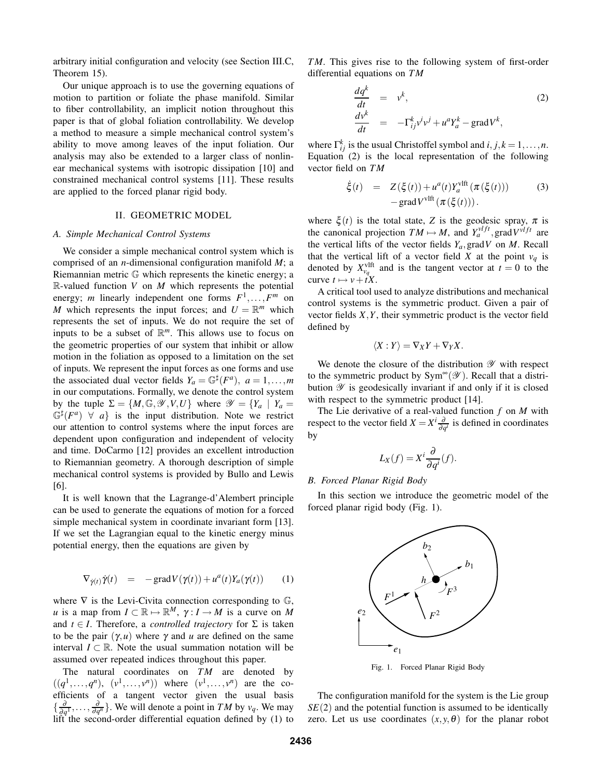arbitrary initial configuration and velocity (see Section III.C, Theorem 15).

Our unique approach is to use the governing equations of motion to partition or foliate the phase manifold. Similar to fiber controllability, an implicit notion throughout this paper is that of global foliation controllability. We develop a method to measure a simple mechanical control system's ability to move among leaves of the input foliation. Our analysis may also be extended to a larger class of nonlinear mechanical systems with isotropic dissipation [10] and constrained mechanical control systems [11]. These results are applied to the forced planar rigid body.

# II. GEOMETRIC MODEL

#### *A. Simple Mechanical Control Systems*

We consider a simple mechanical control system which is comprised of an *n*-dimensional configuration manifold *M*; a Riemannian metric G which represents the kinetic energy; a  $\mathbb{R}\text{-valued function }V$  on  $M$  which represents the potential energy; *m* linearly independent one forms  $F^1, \ldots, F^m$  on *M* which represents the input forces; and  $U = \mathbb{R}^m$  which represents the set of inputs. We do not require the set of inputs to be a subset of  $\mathbb{R}^m$ . This allows use to focus on the geometric properties of our system that inhibit or allow motion in the foliation as opposed to a limitation on the set of inputs. We represent the input forces as one forms and use the associated dual vector fields  $Y_a = \mathbb{G}^\sharp(F^a)$ ,  $a = 1, ..., m$ in our computations. Formally, we denote the control system by the tuple  $\Sigma = \{M, \mathbb{G}, \mathcal{Y}, V, U\}$  where  $\mathcal{Y} = \{Y_a \mid Y_a =$  $\mathbb{G}^{\sharp}(F^a)$   $\forall$  *a*} is the input distribution. Note we restrict our attention to control systems where the input forces are dependent upon configuration and independent of velocity and time. DoCarmo [12] provides an excellent introduction to Riemannian geometry. A thorough description of simple mechanical control systems is provided by Bullo and Lewis [6].

It is well known that the Lagrange-d'Alembert principle can be used to generate the equations of motion for a forced simple mechanical system in coordinate invariant form [13]. If we set the Lagrangian equal to the kinetic energy minus potential energy, then the equations are given by

$$
\nabla_{\dot{\gamma}(t)} \dot{\gamma}(t) = -\text{grad} V(\gamma(t)) + u^a(t) Y_a(\gamma(t)) \qquad (1)
$$

where  $\nabla$  is the Levi-Civita connection corresponding to  $\mathbb{G}$ , *u* is a map from  $I \subset \mathbb{R} \mapsto \mathbb{R}^M$ ,  $\gamma: I \to M$  is a curve on M and  $t \in I$ . Therefore, a *controlled trajectory* for  $\Sigma$  is taken to be the pair  $(\gamma, u)$  where  $\gamma$  and  $u$  are defined on the same interval *I* ⊂ R. Note the usual summation notation will be assumed over repeated indices throughout this paper.

The natural coordinates on *TM* are denoted by  $((q^{1},...,q^{n}), (v^{1},...,v^{n}))$  where  $(v^{1},...,v^{n})$  are the coefficients of a tangent vector given the usual basis  $\{\frac{\partial}{\partial q}$  $\frac{\partial}{\partial q^1}, \ldots, \frac{\partial}{\partial q^n}$ . We will denote a point in *TM* by  $v_q$ . We may lift the second-order differential equation defined by  $(1)$  to *TM*. This gives rise to the following system of first-order differential equations on *TM*

$$
\begin{aligned}\n\frac{dq^k}{dt} &= v^k, \\
\frac{dv^k}{dt} &= -\Gamma_{ij}^k v^i v^j + u^a Y_a^k - \text{grad} V^k,\n\end{aligned}
$$
\n(2)

where  $\Gamma_{ij}^k$  is the usual Christoffel symbol and  $i, j, k = 1, ..., n$ . Equation (2) is the local representation of the following vector field on *TM*

$$
\dot{\xi}(t) = Z(\xi(t)) + u^a(t)Y_a^{\text{vlft}}(\pi(\xi(t)))
$$
\n
$$
-\text{grad}V^{\text{vlft}}(\pi(\xi(t))).
$$
\n(3)

where  $\xi(t)$  is the total state, *Z* is the geodesic spray,  $\pi$  is the canonical projection  $TM \mapsto M$ , and  $Y_a^{vlft}$ , grad  $V^{vlft}$  are the vertical lifts of the vector fields  $Y_a$ , grad  $V$  on  $M$ . Recall that the vertical lift of a vector field *X* at the point  $v_q$  is denoted by  $X_{v_q}^{\text{vlft}}$  and is the tangent vector at  $t = 0$  to the curve  $t \mapsto v + tX$ .

A critical tool used to analyze distributions and mechanical control systems is the symmetric product. Given a pair of vector fields *X*,*Y*, their symmetric product is the vector field defined by

$$
\langle X:Y\rangle=\nabla_XY+\nabla_YX.
$$

We denote the closure of the distribution  $\mathscr Y$  with respect to the symmetric product by  $Sym^{\infty}(\mathscr{Y})$ . Recall that a distribution  $\mathscr Y$  is geodesically invariant if and only if it is closed with respect to the symmetric product [14].

The Lie derivative of a real-valued function *f* on *M* with respect to the vector field  $X = X^i \frac{\partial}{\partial q^i}$  is defined in coordinates by

$$
L_X(f) = X^i \frac{\partial}{\partial q^i}(f).
$$

## *B. Forced Planar Rigid Body*

In this section we introduce the geometric model of the forced planar rigid body (Fig. 1).



Fig. 1. Forced Planar Rigid Body

The configuration manifold for the system is the Lie group *SE*(2) and the potential function is assumed to be identically zero. Let us use coordinates  $(x, y, \theta)$  for the planar robot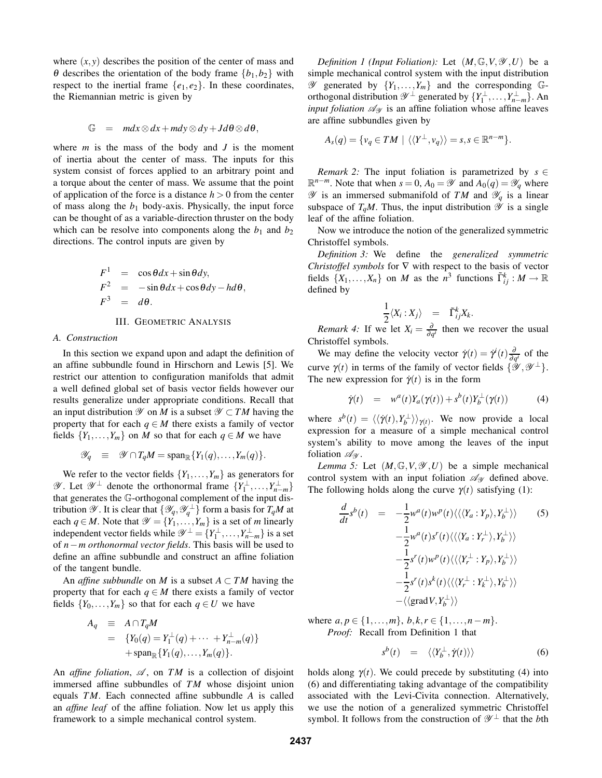where  $(x, y)$  describes the position of the center of mass and  $\theta$  describes the orientation of the body frame  $\{b_1, b_2\}$  with respect to the inertial frame  $\{e_1, e_2\}$ . In these coordinates, the Riemannian metric is given by

$$
\mathbb{G} = m dx \otimes dx + m dy \otimes dy + J d\theta \otimes d\theta,
$$

where  $m$  is the mass of the body and  $J$  is the moment of inertia about the center of mass. The inputs for this system consist of forces applied to an arbitrary point and a torque about the center of mass. We assume that the point of application of the force is a distance  $h > 0$  from the center of mass along the  $b_1$  body-axis. Physically, the input force can be thought of as a variable-direction thruster on the body which can be resolve into components along the  $b_1$  and  $b_2$ directions. The control inputs are given by

$$
F1 = cos \theta dx + sin \theta dy,F2 = -sin \theta dx + cos \theta dy - hd\theta,F3 = d\theta.
$$

III. GEOMETRIC ANALYSIS

## *A. Construction*

In this section we expand upon and adapt the definition of an affine subbundle found in Hirschorn and Lewis [5]. We restrict our attention to configuration manifolds that admit a well defined global set of basis vector fields however our results generalize under appropriate conditions. Recall that an input distribution  $\mathscr Y$  on *M* is a subset  $\mathscr Y \subset TM$  having the property that for each  $q \in M$  there exists a family of vector fields  $\{Y_1, \ldots, Y_m\}$  on *M* so that for each  $q \in M$  we have

$$
\mathscr{Y}_q \equiv \mathscr{Y} \cap T_qM = \mathrm{span}_{\mathbb{R}}\{Y_1(q),\ldots,Y_m(q)\}.
$$

We refer to the vector fields  $\{Y_1, \ldots, Y_m\}$  as generators for *y*. Let *y*<sup>⊥</sup> denote the orthonormal frame  $\{Y_1^\perp, \ldots, Y_{n-m}^\perp\}$ that generates the G-orthogonal complement of the input distribution  $\mathscr Y$ . It is clear that  $\{\mathscr Y_q,\mathscr Y_q^{\perp}\}\)$  form a basis for  $T_qM$  at each *q* ∈ *M*. Note that  $\mathcal{Y} = \{Y_1, \ldots, Y_m\}$  is a set of *m* linearly independent vector fields while  $\mathscr{Y}^{\perp} = \{Y_1^{\perp}, \ldots, Y_{n-m}^{\perp}\}$  is a set of *n*−*m orthonormal vector fields*. This basis will be used to define an affine subbundle and construct an affine foliation of the tangent bundle.

An *affine subbundle* on *M* is a subset  $A \subset TM$  having the property that for each  $q \in M$  there exists a family of vector fields  $\{Y_0, \ldots, Y_m\}$  so that for each  $q \in U$  we have

$$
A_q \equiv A \cap T_q M
$$
  
= { $Y_0(q) = Y_1^{\perp}(q) + \cdots + Y_{n-m}^{\perp}(q)$ }  
+  $\operatorname{span}_{\mathbb{R}} \{Y_1(q), \ldots, Y_m(q)\}.$ 

An *affine foliation*,  $\mathscr A$ , on *TM* is a collection of disjoint immersed affine subbundles of *TM* whose disjoint union equals *TM*. Each connected affine subbundle *A* is called an *affine leaf* of the affine foliation. Now let us apply this framework to a simple mechanical control system.

*Definition 1 (Input Foliation):* Let  $(M, \mathbb{G}, V, \mathcal{Y}, U)$  be a simple mechanical control system with the input distribution  $\mathscr Y$  generated by  $\{Y_1,\ldots,Y_m\}$  and the corresponding  $\mathbb G$ orthogonal distribution  $\mathscr{Y}^{\perp}$  generated by  $\{Y_1^{\perp}, \ldots, Y_{n-m}^{\perp}\}$ . An *input foliation*  $\mathcal{A}_{\mathcal{Y}}$  is an affine foliation whose affine leaves are affine subbundles given by

$$
A_s(q) = \{v_q \in TM \mid \langle \langle Y^{\perp}, v_q \rangle \rangle = s, s \in \mathbb{R}^{n-m}\}.
$$

*Remark* 2: The input foliation is parametrized by  $s \in$  $\mathbb{R}^{n-m}$ . Note that when *s* = 0, *A*<sup>0</sup> =  $\mathcal{Y}$  and *A*<sup>0</sup>(*q*) =  $\mathcal{Y}_q$  where  $\mathscr Y$  is an immersed submanifold of *TM* and  $\mathscr Y_q$  is a linear subspace of  $T_aM$ . Thus, the input distribution  $\mathscr Y$  is a single leaf of the affine foliation.

Now we introduce the notion of the generalized symmetric Christoffel symbols.

*Definition 3:* We define the *generalized symmetric Christoffel symbols* for ∇ with respect to the basis of vector fields  $\{X_1, \ldots, X_n\}$  on *M* as the *n*<sup>3</sup> functions  $\tilde{\Gamma}_{ij}^k : M \to \mathbb{R}$ defined by

$$
\frac{1}{2}\langle X_i:X_j\rangle\quad =\quad \tilde{\Gamma}_{ij}^k X_k.
$$

*Remark* 4: If we let  $X_i = \frac{\partial}{\partial q^i}$  then we recover the usual Christoffel symbols.

We may define the velocity vector  $\dot{\gamma}(t) = \dot{\gamma}^i(t) \frac{\partial}{\partial q^i}$  of the curve  $\gamma(t)$  in terms of the family of vector fields  $\{\mathscr{Y}, \mathscr{Y}^{\perp}\}.$ The new expression for  $\dot{\gamma}(t)$  is in the form

$$
\dot{\gamma}(t) = w^a(t)Y_a(\gamma(t)) + s^b(t)Y_b^{\perp}(\gamma(t)) \tag{4}
$$

where  $s^b(t) = \langle \langle \dot{\gamma}(t), Y_b^{\perp} \rangle \rangle_{\gamma(t)}$ . We now provide a local expression for a measure of a simple mechanical control system's ability to move among the leaves of the input foliation  $\mathscr{A}_{\mathscr{Y}}$ .

*Lemma 5:* Let  $(M, \mathbb{G}, V, \mathcal{Y}, U)$  be a simple mechanical control system with an input foliation  $\mathcal{A}_{\mathcal{Y}}$  defined above. The following holds along the curve  $\gamma(t)$  satisfying (1):

$$
\frac{d}{dt}s^{b}(t) = -\frac{1}{2}w^{a}(t)w^{p}(t)\langle\langle\langle Y_{a}:Y_{p}\rangle,Y_{b}^{\perp}\rangle\rangle
$$
(5)  

$$
-\frac{1}{2}w^{a}(t)s^{r}(t)\langle\langle\langle Y_{a}:Y_{r}^{\perp}\rangle,Y_{b}^{\perp}\rangle\rangle
$$
  

$$
-\frac{1}{2}s^{r}(t)w^{p}(t)\langle\langle\langle Y_{r}^{\perp}:Y_{p}\rangle,Y_{b}^{\perp}\rangle\rangle
$$
  

$$
-\frac{1}{2}s^{r}(t)s^{k}(t)\langle\langle\langle Y_{r}^{\perp}:Y_{k}^{\perp}\rangle,Y_{b}^{\perp}\rangle\rangle
$$
  

$$
-\langle\langle\text{grad }V,Y_{b}^{\perp}\rangle\rangle
$$

where  $a, p \in \{1, \ldots, m\}$ ,  $b, k, r \in \{1, \ldots, n-m\}$ . *Proof:* Recall from Definition 1 that

$$
s^{b}(t) = \langle \langle Y_{b}^{\perp}, \dot{\gamma}(t) \rangle \rangle \tag{6}
$$

holds along  $\gamma(t)$ . We could precede by substituting (4) into (6) and differentiating taking advantage of the compatibility associated with the Levi-Civita connection. Alternatively, we use the notion of a generalized symmetric Christoffel symbol. It follows from the construction of  $\mathscr{Y}^{\perp}$  that the *b*th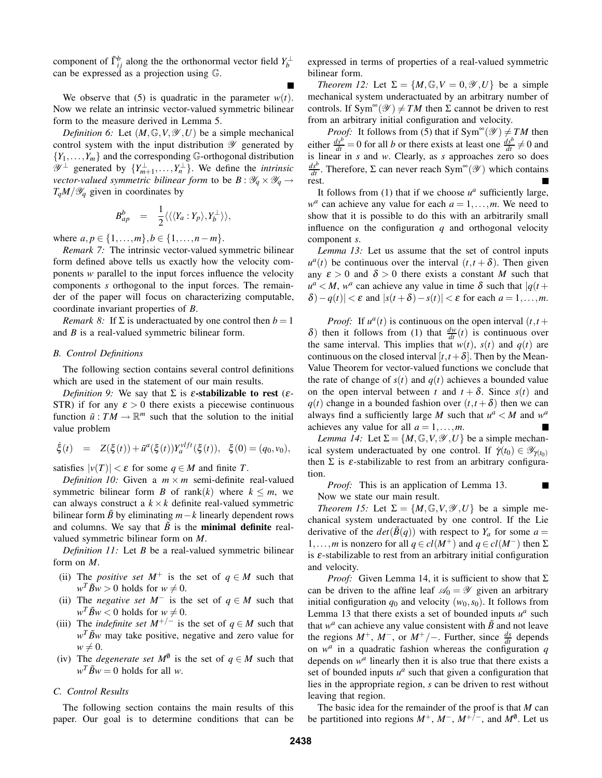component of  $\tilde{\Gamma}_{ij}^b$  along the the orthonormal vector field  $Y_b^{\perp}$ can be expressed as a projection using G.

We observe that (5) is quadratic in the parameter  $w(t)$ . Now we relate an intrinsic vector-valued symmetric bilinear form to the measure derived in Lemma 5.

*Definition 6:* Let  $(M, \mathbb{G}, V, \mathcal{Y}, U)$  be a simple mechanical control system with the input distribution  $\mathscr Y$  generated by  ${Y_1, \ldots, Y_m}$  and the corresponding G-orthogonal distribution  $\mathscr{Y}^{\perp}$  generated by  $\{Y_{m+1}^{\perp}, \ldots, Y_n^{\perp}\}$ . We define the *intrinsic vector-valued symmetric bilinear form to be*  $B: \mathcal{Y}_q \times \mathcal{Y}_q \rightarrow$  $T_qM/\mathscr{Y}_q$  given in coordinates by

$$
B_{ap}^b = \frac{1}{2} \langle \langle Y_a : Y_p \rangle, Y_b^{\perp} \rangle \rangle,
$$

where  $a, p \in \{1, ..., m\}, b \in \{1, ..., n-m\}.$ 

*Remark 7:* The intrinsic vector-valued symmetric bilinear form defined above tells us exactly how the velocity components *w* parallel to the input forces influence the velocity components *s* orthogonal to the input forces. The remainder of the paper will focus on characterizing computable, coordinate invariant properties of *B*.

*Remark* 8: If  $\Sigma$  is underactuated by one control then  $b = 1$ and *B* is a real-valued symmetric bilinear form.

#### *B. Control Definitions*

The following section contains several control definitions which are used in the statement of our main results.

*Definition 9:* We say that Σ is  $ε$ -stabilizable to rest (ε-STR) if for any  $\varepsilon > 0$  there exists a piecewise continuous function  $\tilde{u}: TM \to \mathbb{R}^m$  such that the solution to the initial value problem

$$
\dot{\xi}(t) = Z(\xi(t)) + \tilde{u}^a(\xi(t))Y_a^{vlft}(\xi(t)), \xi(0) = (q_0, v_0),
$$

satisfies  $|v(T)| < \varepsilon$  for some  $q \in M$  and finite *T*.

*Definition 10:* Given a  $m \times m$  semi-definite real-valued symmetric bilinear form *B* of rank(*k*) where  $k \le m$ , we can always construct a  $k \times k$  definite real-valued symmetric bilinear form *<sup>B</sup>*˜ by eliminating *<sup>m</sup>*−*<sup>k</sup>* linearly dependent rows and columns. We say that  $\tilde{B}$  is the **minimal definite** realvalued symmetric bilinear form on *M*.

*Definition 11:* Let *B* be a real-valued symmetric bilinear form on *M*.

- (ii) The *positive set*  $M^+$  is the set of  $q \in M$  such that  $w^T \tilde{B} w > 0$  holds for  $w \neq 0$ .
- (ii) The *negative set*  $M^-$  is the set of  $q \in M$  such that  $w^T \tilde{B} w < 0$  holds for  $w \neq 0$ .
- (iii) The *indefinite* set  $M^{+/-}$  is the set of  $q \in M$  such that  $w^T \tilde{B} w$  may take positive, negative and zero value for  $w \neq 0$ .
- (iv) The *degenerate set*  $M^{\emptyset}$  is the set of  $q \in M$  such that  $w^T \tilde{B} w = 0$  holds for all *w*.

# *C. Control Results*

The following section contains the main results of this paper. Our goal is to determine conditions that can be expressed in terms of properties of a real-valued symmetric bilinear form.

*Theorem 12:* Let  $\Sigma = \{M, \mathbb{G}, V = 0, \mathcal{Y}, U\}$  be a simple mechanical system underactuated by an arbitrary number of controls. If  $Sym^{\infty}(\mathscr{Y}) \neq TM$  then  $\Sigma$  cannot be driven to rest from an arbitrary initial configuration and velocity.

*Proof:* It follows from (5) that if  $Sym^{\infty}(\mathcal{Y}) \neq TM$  then either  $\frac{ds^b}{dt} = 0$  for all *b* or there exists at least one  $\frac{ds^b}{dt}$  $\frac{ds^{\omega}}{dt} \neq 0$  and is linear in *s* and *w*. Clearly, as *s* approaches zero so does *ds b*  $\frac{ds^b}{dt}$ . Therefore,  $\Sigma$  can never reach Sym<sup>∞</sup>( $\mathscr Y$ ) which contains rest.

It follows from  $(1)$  that if we choose  $u^a$  sufficiently large,  $w^a$  can achieve any value for each  $a = 1, \ldots, m$ . We need to show that it is possible to do this with an arbitrarily small influence on the configuration *q* and orthogonal velocity component *s*.

*Lemma 13:* Let us assume that the set of control inputs  $u^a(t)$  be continuous over the interval  $(t, t + \delta)$ . Then given any  $\varepsilon > 0$  and  $\delta > 0$  there exists a constant *M* such that  $u^a$  < *M*,  $w^a$  can achieve any value in time  $\delta$  such that  $|q(t+$  $|\delta(-q(t)| < \varepsilon$  and  $|s(t+\delta)-s(t)| < \varepsilon$  for each  $a=1,\ldots,m$ .

*Proof:* If  $u^a(t)$  is continuous on the open interval  $(t, t +$  $\delta$ ) then it follows from (1) that  $\frac{dw}{dt}(t)$  is continuous over the same interval. This implies that  $w(t)$ ,  $s(t)$  and  $q(t)$  are continuous on the closed interval  $[t, t + \delta]$ . Then by the Mean-Value Theorem for vector-valued functions we conclude that the rate of change of  $s(t)$  and  $q(t)$  achieves a bounded value on the open interval between *t* and  $t + \delta$ . Since  $s(t)$  and  $q(t)$  change in a bounded fashion over  $(t, t + \delta)$  then we can always find a sufficiently large *M* such that  $u^a < M$  and  $w^a$ achieves any value for all  $a = 1, \ldots, m$ .

*Lemma 14:* Let  $\Sigma = \{M, \mathbb{G}, V, \mathcal{Y}, U\}$  be a simple mechanical system underactuated by one control. If  $\dot{\gamma}(t_0) \in \mathscr{Y}_{\gamma(t_0)}$ then  $\Sigma$  is  $\varepsilon$ -stabilizable to rest from an arbitrary configuration.

*Proof:* This is an application of Lemma 13. Now we state our main result.

*Theorem 15:* Let  $\Sigma = \{M, \mathbb{G}, V, \mathcal{Y}, U\}$  be a simple mechanical system underactuated by one control. If the Lie derivative of the  $det(\tilde{B}(q))$  with respect to  $Y_a$  for some  $a =$ 1,...,*m* is nonzero for all  $q \in cl(M^+)$  and  $q \in cl(M^-)$  then  $\Sigma$ is  $\varepsilon$ -stabilizable to rest from an arbitrary initial configuration and velocity.

*Proof:* Given Lemma 14, it is sufficient to show that Σ can be driven to the affine leaf  $\mathcal{A}_0 = \mathcal{Y}$  given an arbitrary initial configuration  $q_0$  and velocity  $(w_0, s_0)$ . It follows from Lemma 13 that there exists a set of bounded inputs  $u^a$  such that  $w^a$  can achieve any value consistent with  $\tilde{B}$  and not leave the regions  $M^+$ ,  $M^-$ , or  $M^+$ /-. Further, since  $\frac{ds}{dt}$  depends on  $w^a$  in a quadratic fashion whereas the configuration  $q$ depends on  $w^a$  linearly then it is also true that there exists a set of bounded inputs  $u^a$  such that given a configuration that lies in the appropriate region, *s* can be driven to rest without leaving that region.

The basic idea for the remainder of the proof is that *M* can be partitioned into regions  $M^+$ ,  $M^-$ ,  $M^{+/}$ , and  $M^0$ . Let us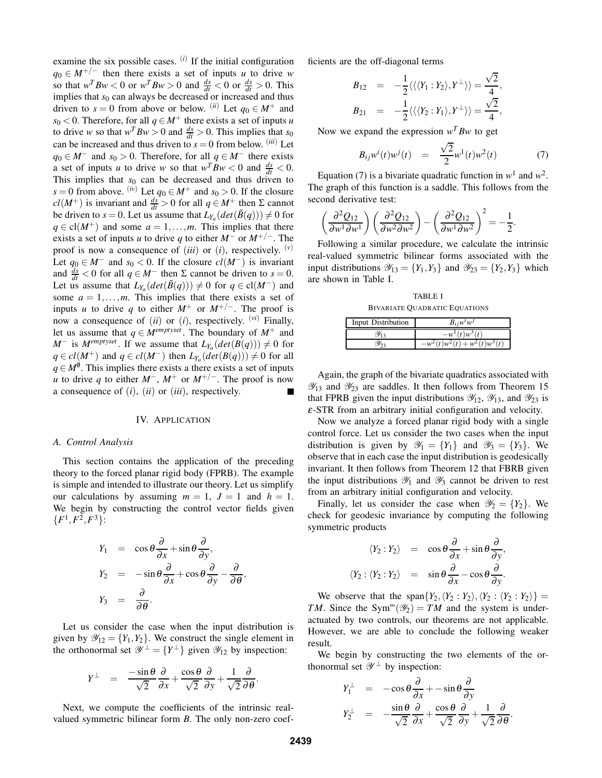examine the six possible cases. <sup>(*i*)</sup> If the initial configuration  $q_0 \in M^{+/-}$  then there exists a set of inputs *u* to drive *w* so that  $w^T B w < 0$  or  $w^T B w > 0$  and  $\frac{ds}{dt} < 0$  or  $\frac{ds}{dt} > 0$ . This implies that  $s_0$  can always be decreased or increased and thus driven to  $s = 0$  from above or below. (*ii*) Let  $q_0 \in M^+$  and *s*<sub>0</sub> < 0. Therefore, for all  $q \in M^+$  there exists a set of inputs *u* to drive *w* so that  $w^T B w > 0$  and  $\frac{ds}{dt} > 0$ . This implies that *s*<sub>0</sub> can be increased and thus driven to  $s = 0$  from below.  $(iii)$  Let *q*<sub>0</sub> ∈ *M*<sup>−</sup> and *s*<sub>0</sub> > 0. Therefore, for all *q* ∈ *M*<sup>−</sup> there exists a set of inputs *u* to drive *w* so that  $w^T B w < 0$  and  $\frac{ds}{dt} < 0$ . This implies that  $s_0$  can be decreased and thus driven to *s* = 0 from above. (*iv*) Let  $q_0 \in M^+$  and  $s_0 > 0$ . If the closure  $cl(M^+)$  is invariant and  $\frac{ds}{dt} > 0$  for all  $q \in M^+$  then  $\Sigma$  cannot be driven to  $s = 0$ . Let us assume that  $L_{Y_a}(det(\tilde{B}(q))) \neq 0$  for  $q \in \text{cl}(M^+)$  and some  $a = 1, \ldots, m$ . This implies that there exists a set of inputs *u* to drive *q* to either  $M^-$  or  $M^{+/-}$ . The proof is now a consequence of (*iii*) or (*i*), respectively. (*v*) Let  $q_0$  ∈  $M^-$  and  $s_0$  < 0. If the closure  $cl(M^-)$  is invariant and  $\frac{ds}{dt} < 0$  for all  $q \in M^-$  then  $\Sigma$  cannot be driven to  $s = 0$ . Let us assume that  $L_{Y_a}(det(\tilde{B}(q))) \neq 0$  for  $q \in cl(M^-)$  and some  $a = 1, \ldots, m$ . This implies that there exists a set of inputs *u* to drive *q* to either  $M^+$  or  $M^{+/-}$ . The proof is now a consequence of (*ii*) or (*i*), respectively. (*vi*) Finally, let us assume that  $q \in M^{emptyset}$ . The boundary of  $M^+$  and  $M^-$  is  $M^{emptyset}$ . If we assume that  $L_{Y_a}(det(B(q))) \neq 0$  for  $q \in cl(M^+)$  and  $q \in cl(M^-)$  then  $L_{Y_a}(det(B(q))) \neq 0$  for all  $q \in M^0$ . This implies there exists a there exists a set of inputs *u* to drive *q* to either  $M^-$ ,  $M^+$  or  $M^{+/-}$ . The proof is now a consequence of (*i*), (*ii*) or (*iii*), respectively.

## IV. APPLICATION

#### *A. Control Analysis*

This section contains the application of the preceding theory to the forced planar rigid body (FPRB). The example is simple and intended to illustrate our theory. Let us simplify our calculations by assuming  $m = 1$ ,  $J = 1$  and  $h = 1$ . We begin by constructing the control vector fields given  $\{F^1, F^2, F^3\}$ 

$$
Y_1 = \cos \theta \frac{\partial}{\partial x} + \sin \theta \frac{\partial}{\partial y},
$$
  
\n
$$
Y_2 = -\sin \theta \frac{\partial}{\partial x} + \cos \theta \frac{\partial}{\partial y} - \frac{\partial}{\partial \theta},
$$
  
\n
$$
Y_3 = \frac{\partial}{\partial \theta}.
$$

,

Let us consider the case when the input distribution is given by  $\mathscr{Y}_{12} = \{Y_1, Y_2\}$ . We construct the single element in the orthonormal set  $\mathscr{Y}^{\perp} = \{Y^{\perp}\}\$  given  $\mathscr{Y}_{12}$  by inspection:

$$
Y^{\perp} = \frac{-\sin\theta}{\sqrt{2}}\frac{\partial}{\partial x} + \frac{\cos\theta}{\sqrt{2}}\frac{\partial}{\partial y} + \frac{1}{\sqrt{2}}\frac{\partial}{\partial \theta}.
$$

Next, we compute the coefficients of the intrinsic realvalued symmetric bilinear form *B*. The only non-zero coefficients are the off-diagonal terms

$$
B_{12} = -\frac{1}{2} \langle \langle Y_1 : Y_2 \rangle, Y^{\perp} \rangle \rangle = \frac{\sqrt{2}}{4}
$$
  

$$
B_{21} = -\frac{1}{2} \langle \langle Y_2 : Y_1 \rangle, Y^{\perp} \rangle \rangle = \frac{\sqrt{2}}{4}
$$

Now we expand the expression  $w^T B w$  to get

$$
B_{ij}w^{i}(t)w^{j}(t) = \frac{\sqrt{2}}{2}w^{1}(t)w^{2}(t)
$$
 (7)

,

,

Equation (7) is a bivariate quadratic function in  $w<sup>1</sup>$  and  $w<sup>2</sup>$ . The graph of this function is a saddle. This follows from the second derivative test:

$$
\left(\frac{\partial^2 Q_{12}}{\partial w^1 \partial w^1}\right) \left(\frac{\partial^2 Q_{12}}{\partial w^2 \partial w^2}\right) - \left(\frac{\partial^2 Q_{12}}{\partial w^1 \partial w^2}\right)^2 = -\frac{1}{2}.
$$

Following a similar procedure, we calculate the intrinsic real-valued symmetric bilinear forms associated with the input distributions  $\mathcal{Y}_{13} = \{Y_1, Y_3\}$  and  $\mathcal{Y}_{23} = \{Y_2, Y_3\}$  which are shown in Table I.

TABLE I BIVARIATE QUADRATIC EQUATIONS

| Input Distribution | $B_i$ ; $w^iw^j$               |
|--------------------|--------------------------------|
|                    | $-w^{1}(t)w^{3}$               |
|                    | $-w^2(t)w^2(t) + w^2(t)w^3(t)$ |

Again, the graph of the bivariate quadratics associated with  $\mathcal{Y}_{13}$  and  $\mathcal{Y}_{23}$  are saddles. It then follows from Theorem 15 that FPRB given the input distributions  $\mathcal{Y}_{12}$ ,  $\mathcal{Y}_{13}$ , and  $\mathcal{Y}_{23}$  is <sup>ε</sup>-STR from an arbitrary initial configuration and velocity.

Now we analyze a forced planar rigid body with a single control force. Let us consider the two cases when the input distribution is given by  $\mathcal{Y}_1 = \{Y_1\}$  and  $\mathcal{Y}_3 = \{Y_3\}$ . We observe that in each case the input distribution is geodesically invariant. It then follows from Theorem 12 that FBRB given the input distributions  $\mathcal{Y}_1$  and  $\mathcal{Y}_3$  cannot be driven to rest from an arbitrary initial configuration and velocity.

Finally, let us consider the case when  $\mathcal{Y}_2 = \{Y_2\}$ . We check for geodesic invariance by computing the following symmetric products

$$
\langle Y_2 : Y_2 \rangle = \cos \theta \frac{\partial}{\partial x} + \sin \theta \frac{\partial}{\partial y},
$$
  

$$
\langle Y_2 : \langle Y_2 : Y_2 \rangle = \sin \theta \frac{\partial}{\partial x} - \cos \theta \frac{\partial}{\partial y}.
$$

We observe that the span ${Y_2, \langle Y_2 : Y_2 \rangle, \langle Y_2 : \langle Y_2 : Y_2 \rangle}$  = *TM*. Since the Sym<sup>∞</sup>( $\mathcal{Y}_2$ ) = *TM* and the system is underactuated by two controls, our theorems are not applicable. However, we are able to conclude the following weaker result.

We begin by constructing the two elements of the orthonormal set  $\mathscr{Y}^{\perp}$  by inspection:

$$
Y_1^{\perp} = -\cos\theta \frac{\partial}{\partial x} + -\sin\theta \frac{\partial}{\partial y}
$$
  

$$
Y_2^{\perp} = -\frac{\sin\theta}{\sqrt{2}} \frac{\partial}{\partial x} + \frac{\cos\theta}{\sqrt{2}} \frac{\partial}{\partial y} + \frac{1}{\sqrt{2}} \frac{\partial}{\partial \theta}.
$$